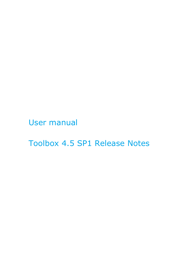User manual

Toolbox 4.5 SP1 Release Notes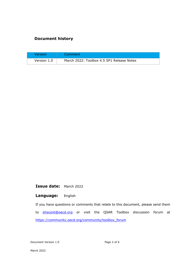### **Document history**

| Version     | Comment                                   |
|-------------|-------------------------------------------|
| Version 1.0 | March 2022: Toolbox 4.5 SP1 Release Notes |

**Issue date:** March 2022

#### **Language:** English

If you have questions or comments that relate to this document, please send them to [ehscont@oecd.org](mailto:ehscont@oecd.org) or visit the QSAR Toolbox discussion forum at [https://community.oecd.org/community/toolbox\\_forum](https://community.oecd.org/community/toolbox_forum)

Document Version 1.0 Page 2 of 6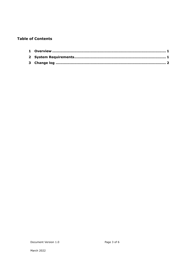#### **Table of Contents**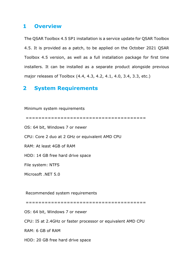### <span id="page-3-0"></span>**1 Overview**

The QSAR Toolbox 4.5 SP1 installation is a service update for QSAR Toolbox 4.5. It is provided as a patch, to be applied on the October 2021 QSAR Toolbox 4.5 version, as well as a full installation package for first time installers. It can be installed as a separate product alongside previous major releases of Toolbox (4.4, 4.3, 4.2, 4.1, 4.0, 3.4, 3.3, etc.)

## <span id="page-3-1"></span>**2 System Requirements**

Minimum system requirements

====================================== OS: 64 bit, Windows 7 or newer CPU: Core 2 duo at 2 GHz or equivalent AMD CPU RAM: At least 4GB of RAM HDD: 14 GB free hard drive space File system: NTFS Microsoft .NET 5.0 Recommended system requirements

======================================

OS: 64 bit, Windows 7 or newer

CPU: I5 at 2.4GHz or faster processor or equivalent AMD CPU

RAM: 6 GB of RAM

HDD: 20 GB free hard drive space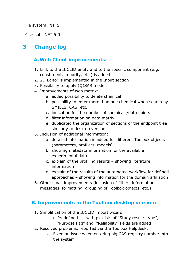File system: NTFS

Microsoft .NET 5.0

# <span id="page-4-0"></span>**3 Change log**

## **A.Web Client improvements:**

- 1. Link to the IUCLID entity and to the specific component (e.g. constituent, impurity, etc.) is added
- 2. 2D Editor is implemented in the Input section
- 3. Possibility to apply (Q)SAR models
- 4. Improvements of web matrix:
	- a. added possibility to delete chemical
	- b. possibility to enter more than one chemical when search by SMILES, CAS, etc.
	- c. indication for the number of chemicals/data points
	- d. filter information on data matrix
	- e. duplicated the organization of sections of the endpoint tree similarly to desktop version
- 5. Inclusion of additional information:
	- a. detailed information is added for different Toolbox objects (parameters, profilers, models)
	- b. showing metadata information for the available experimental data
	- c. explain of the profiling results showing literature information
	- d. explain of the results of the automated workflow for defined approaches – showing information for the domain affiliation
- 6. Other small improvements (inclusion of filters, information messages, formatting, grouping of Toolbox objects, etc.)

### **B. Improvements in the Toolbox desktop version:**

- 1. Simplification of the IUCLID import wizard.
	- a. Predefined list with picklists of "Study results type", "Purpose flag" and "Reliability" fields are added
- 2. Resolved problems, reported via the Toolbox Helpdesk:
	- a. Fixed an issue when entering big CAS registry number into the system